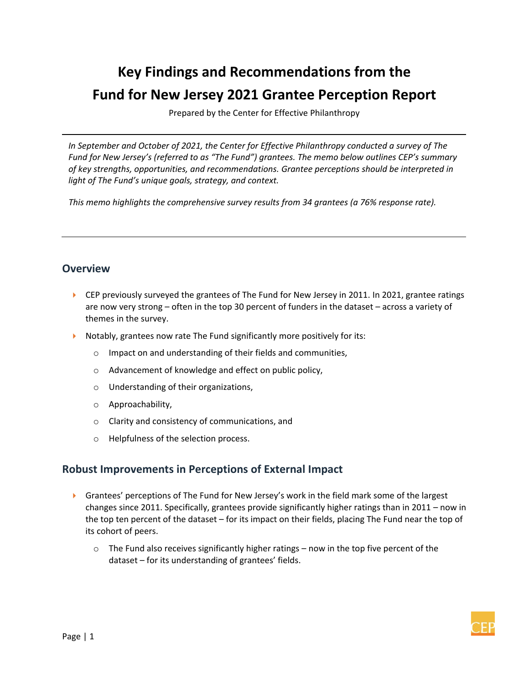# **Key Findings and Recommendations from the Fund for New Jersey 2021 Grantee Perception Report**

Prepared by the Center for Effective Philanthropy

*In September and October of 2021, the Center for Effective Philanthropy conducted a survey of The Fund for New Jersey's (referred to as "The Fund") grantees. The memo below outlines CEP's summary of key strengths, opportunities, and recommendations. Grantee perceptions should be interpreted in light of The Fund's unique goals, strategy, and context.*

*This memo highlights the comprehensive survey results from 34 grantees (a 76% response rate).*

#### **Overview**

- ▶ CEP previously surveyed the grantees of The Fund for New Jersey in 2011. In 2021, grantee ratings are now very strong – often in the top 30 percent of funders in the dataset – across a variety of themes in the survey.
- Notably, grantees now rate The Fund significantly more positively for its:
	- o Impact on and understanding of their fields and communities,
	- o Advancement of knowledge and effect on public policy,
	- o Understanding of their organizations,
	- o Approachability,
	- o Clarity and consistency of communications, and
	- o Helpfulness of the selection process.

## **Robust Improvements in Perceptions of External Impact**

- **F** Grantees' perceptions of The Fund for New Jersey's work in the field mark some of the largest changes since 2011. Specifically, grantees provide significantly higher ratings than in 2011 – now in the top ten percent of the dataset – for its impact on their fields, placing The Fund near the top of its cohort of peers.
	- $\circ$  The Fund also receives significantly higher ratings now in the top five percent of the dataset – for its understanding of grantees' fields.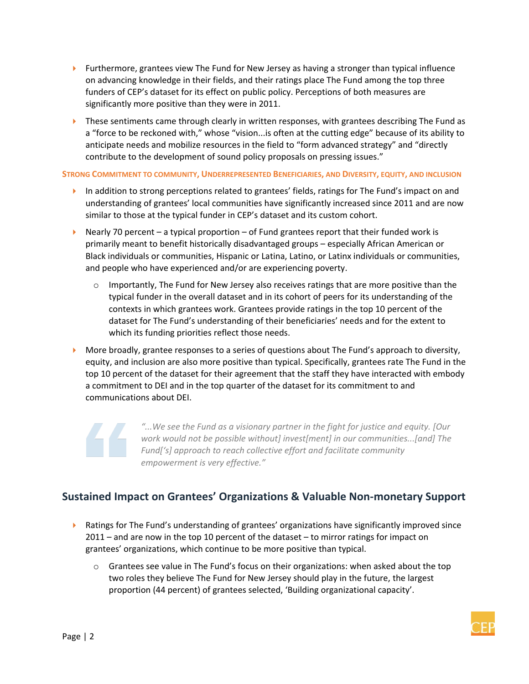- **Furthermore, grantees view The Fund for New Jersey as having a stronger than typical influence** on advancing knowledge in their fields, and their ratings place The Fund among the top three funders of CEP's dataset for its effect on public policy. Perceptions of both measures are significantly more positive than they were in 2011.
- **Fig. 2** These sentiments came through clearly in written responses, with grantees describing The Fund as a "force to be reckoned with," whose "vision...is often at the cutting edge" because of its ability to anticipate needs and mobilize resources in the field to "form advanced strategy" and "directly contribute to the development of sound policy proposals on pressing issues."

**STRONG COMMITMENT TO COMMUNITY, UNDERREPRESENTED BENEFICIARIES, AND DIVERSITY, EQUITY, AND INCLUSION**

- In addition to strong perceptions related to grantees' fields, ratings for The Fund's impact on and understanding of grantees' local communities have significantly increased since 2011 and are now similar to those at the typical funder in CEP's dataset and its custom cohort.
- Nearly 70 percent a typical proportion of Fund grantees report that their funded work is primarily meant to benefit historically disadvantaged groups – especially African American or Black individuals or communities, Hispanic or Latina, Latino, or Latinx individuals or communities, and people who have experienced and/or are experiencing poverty.
	- $\circ$  Importantly, The Fund for New Jersey also receives ratings that are more positive than the typical funder in the overall dataset and in its cohort of peers for its understanding of the contexts in which grantees work. Grantees provide ratings in the top 10 percent of the dataset for The Fund's understanding of their beneficiaries' needs and for the extent to which its funding priorities reflect those needs.
- **More broadly, grantee responses to a series of questions about The Fund's approach to diversity,** equity, and inclusion are also more positive than typical. Specifically, grantees rate The Fund in the top 10 percent of the dataset for their agreement that the staff they have interacted with embody a commitment to DEI and in the top quarter of the dataset for its commitment to and communications about DEI.

*"...We see the Fund as a visionary partner in the fight for justice and equity. [Our work would not be possible without] invest[ment] in our communities...[and] The Fund['s] approach to reach collective effort and facilitate community empowerment is very effective."*

## **Sustained Impact on Grantees' Organizations & Valuable Non-monetary Support**

- **EXECT** Ratings for The Fund's understanding of grantees' organizations have significantly improved since 2011 – and are now in the top 10 percent of the dataset – to mirror ratings for impact on grantees' organizations, which continue to be more positive than typical.
	- $\circ$  Grantees see value in The Fund's focus on their organizations: when asked about the top two roles they believe The Fund for New Jersey should play in the future, the largest proportion (44 percent) of grantees selected, 'Building organizational capacity'.

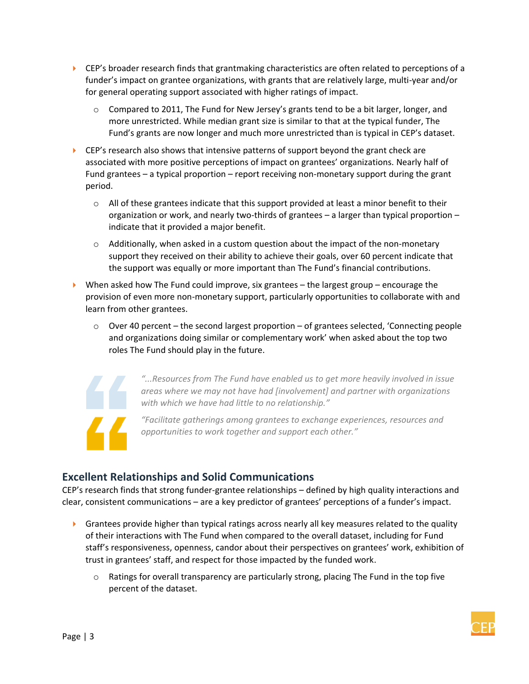- $\triangleright$  CEP's broader research finds that grantmaking characteristics are often related to perceptions of a funder's impact on grantee organizations, with grants that are relatively large, multi-year and/or for general operating support associated with higher ratings of impact.
	- $\circ$  Compared to 2011, The Fund for New Jersey's grants tend to be a bit larger, longer, and more unrestricted. While median grant size is similar to that at the typical funder, The Fund's grants are now longer and much more unrestricted than is typical in CEP's dataset.
- $\blacktriangleright$  CEP's research also shows that intensive patterns of support beyond the grant check are associated with more positive perceptions of impact on grantees' organizations. Nearly half of Fund grantees – a typical proportion – report receiving non-monetary support during the grant period.
	- $\circ$  All of these grantees indicate that this support provided at least a minor benefit to their organization or work, and nearly two-thirds of grantees – a larger than typical proportion – indicate that it provided a major benefit.
	- o Additionally, when asked in a custom question about the impact of the non-monetary support they received on their ability to achieve their goals, over 60 percent indicate that the support was equally or more important than The Fund's financial contributions.
- $\triangleright$  When asked how The Fund could improve, six grantees the largest group encourage the provision of even more non-monetary support, particularly opportunities to collaborate with and learn from other grantees.
	- $\circ$  Over 40 percent the second largest proportion of grantees selected, 'Connecting people and organizations doing similar or complementary work' when asked about the top two roles The Fund should play in the future.



*"...Resources from The Fund have enabled us to get more heavily involved in issue areas where we may not have had [involvement] and partner with organizations with which we have had little to no relationship."*

*"Facilitate gatherings among grantees to exchange experiences, resources and opportunities to work together and support each other."*

## **Excellent Relationships and Solid Communications**

CEP's research finds that strong funder‐grantee relationships – defined by high quality interactions and clear, consistent communications – are a key predictor of grantees' perceptions of a funder's impact.

- $\triangleright$  Grantees provide higher than typical ratings across nearly all key measures related to the quality of their interactions with The Fund when compared to the overall dataset, including for Fund staff's responsiveness, openness, candor about their perspectives on grantees' work, exhibition of trust in grantees' staff, and respect for those impacted by the funded work.
	- $\circ$  Ratings for overall transparency are particularly strong, placing The Fund in the top five percent of the dataset.

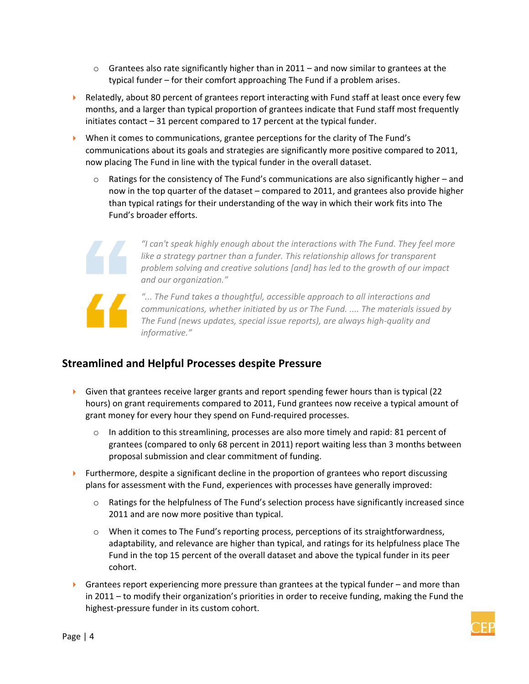- $\circ$  Grantees also rate significantly higher than in 2011 and now similar to grantees at the typical funder – for their comfort approaching The Fund if a problem arises.
- $\blacktriangleright$  Relatedly, about 80 percent of grantees report interacting with Fund staff at least once every few months, and a larger than typical proportion of grantees indicate that Fund staff most frequently initiates contact – 31 percent compared to 17 percent at the typical funder.
- When it comes to communications, grantee perceptions for the clarity of The Fund's communications about its goals and strategies are significantly more positive compared to 2011, now placing The Fund in line with the typical funder in the overall dataset.
	- $\circ$  Ratings for the consistency of The Fund's communications are also significantly higher and now in the top quarter of the dataset – compared to 2011, and grantees also provide higher than typical ratings for their understanding of the way in which their work fits into The Fund's broader efforts.



*"I can't speak highly enough about the interactions with The Fund. They feel more like a strategy partner than a funder. This relationship allows for transparent problem solving and creative solutions [and] has led to the growth of our impact and our organization."*



*"... The Fund takes a thoughtful, accessible approach to all interactions and communications, whether initiated by us or The Fund. .... The materials issued by The Fund (news updates, special issue reports), are always high-quality and informative."*

## **Streamlined and Helpful Processes despite Pressure**

- Given that grantees receive larger grants and report spending fewer hours than is typical  $(22)$ hours) on grant requirements compared to 2011, Fund grantees now receive a typical amount of grant money for every hour they spend on Fund-required processes.
	- $\circ$  In addition to this streamlining, processes are also more timely and rapid: 81 percent of grantees (compared to only 68 percent in 2011) report waiting less than 3 months between proposal submission and clear commitment of funding.
- $\blacktriangleright$  Furthermore, despite a significant decline in the proportion of grantees who report discussing plans for assessment with the Fund, experiences with processes have generally improved:
	- $\circ$  Ratings for the helpfulness of The Fund's selection process have significantly increased since 2011 and are now more positive than typical.
	- $\circ$  When it comes to The Fund's reporting process, perceptions of its straightforwardness, adaptability, and relevance are higher than typical, and ratings for its helpfulness place The Fund in the top 15 percent of the overall dataset and above the typical funder in its peer cohort.
- **F** Grantees report experiencing more pressure than grantees at the typical funder and more than in 2011 – to modify their organization's priorities in order to receive funding, making the Fund the highest-pressure funder in its custom cohort.